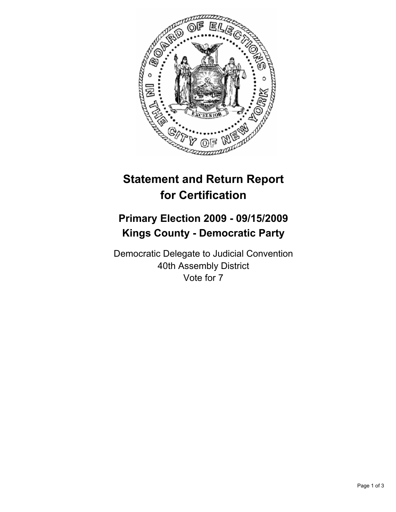

## **Statement and Return Report for Certification**

## **Primary Election 2009 - 09/15/2009 Kings County - Democratic Party**

Democratic Delegate to Judicial Convention 40th Assembly District Vote for 7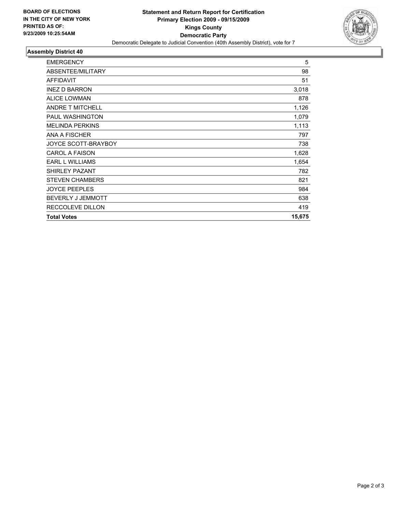

## **Assembly District 40**

| <b>EMERGENCY</b>         | 5      |
|--------------------------|--------|
| ABSENTEE/MILITARY        | 98     |
| <b>AFFIDAVIT</b>         | 51     |
| <b>INEZ D BARRON</b>     | 3,018  |
| <b>ALICE LOWMAN</b>      | 878    |
| <b>ANDRE T MITCHELL</b>  | 1,126  |
| <b>PAUL WASHINGTON</b>   | 1,079  |
| <b>MELINDA PERKINS</b>   | 1,113  |
| ANA A FISCHER            | 797    |
| JOYCE SCOTT-BRAYBOY      | 738    |
| <b>CAROL A FAISON</b>    | 1,628  |
| <b>EARL L WILLIAMS</b>   | 1,654  |
| <b>SHIRLEY PAZANT</b>    | 782    |
| <b>STEVEN CHAMBERS</b>   | 821    |
| <b>JOYCE PEEPLES</b>     | 984    |
| <b>BEVERLY J JEMMOTT</b> | 638    |
| RECCOLEVE DILLON         | 419    |
| <b>Total Votes</b>       | 15,675 |